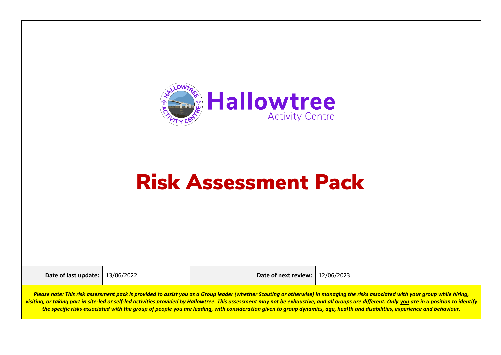

# Risk Assessment Pack

**Date of last update:** 13/06/2022 **Date of next review:** 12/06/2023

*Please note: This risk assessment pack is provided to assist you as a Group leader (whether Scouting or otherwise) in managing the risks associated with your group while hiring, visiting, or taking part in site-led or self-led activities provided by Hallowtree. This assessment may not be exhaustive, and all groups are different. Only you are in a position to identify the specific risks associated with the group of people you are leading, with consideration given to group dynamics, age, health and disabilities, experience and behaviour.*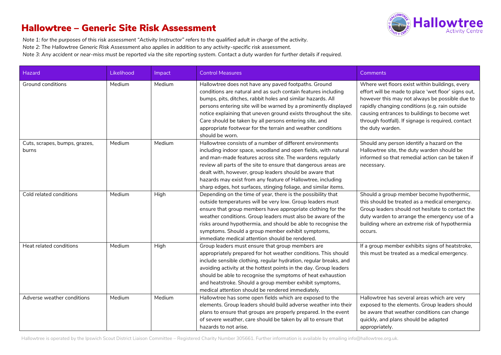

#### Hallowtree – Generic Site Risk Assessment

*Note 1: for the purposes of this risk assessment "Activity Instructor" refers to the qualified adult in charge of the activity.*

*Note 2: The Hallowtree Generic Risk Assessment also applies in addition to any activity-specific risk assessment.*

*Note 3: Any accident or near-miss must be reported via the site reporting system. Contact a duty warden for further details if required.*

| <b>Hazard</b>                          | Likelihood | Impact | <b>Control Measures</b>                                                                                                                                                                                                                                                                                                                                                                                                                                                 | Comments                                                                                                                                                                                                                                                                                                                            |
|----------------------------------------|------------|--------|-------------------------------------------------------------------------------------------------------------------------------------------------------------------------------------------------------------------------------------------------------------------------------------------------------------------------------------------------------------------------------------------------------------------------------------------------------------------------|-------------------------------------------------------------------------------------------------------------------------------------------------------------------------------------------------------------------------------------------------------------------------------------------------------------------------------------|
| Ground conditions                      | Medium     | Medium | Hallowtree does not have any paved footpaths. Ground<br>conditions are natural and as such contain features including<br>bumps, pits, ditches, rabbit holes and similar hazards. All<br>persons entering site will be warned by a prominently displayed<br>notice explaining that uneven ground exists throughout the site.<br>Care should be taken by all persons entering site, and<br>appropriate footwear for the terrain and weather conditions<br>should be worn. | Where wet floors exist within buildings, every<br>effort will be made to place 'wet floor' signs out,<br>however this may not always be possible due to<br>rapidly changing conditions (e.g. rain outside<br>causing entrances to buildings to become wet<br>through footfall). If signage is required, contact<br>the duty warden. |
| Cuts, scrapes, bumps, grazes,<br>burns | Medium     | Medium | Hallowtree consists of a number of different environments<br>including indoor space, woodland and open fields, with natural<br>and man-made features across site. The wardens regularly<br>review all parts of the site to ensure that dangerous areas are<br>dealt with, however, group leaders should be aware that<br>hazards may exist from any feature of Hallowtree, including<br>sharp edges, hot surfaces, stinging foliage, and similar items.                 | Should any person identify a hazard on the<br>Hallowtree site, the duty warden should be<br>informed so that remedial action can be taken if<br>necessary.                                                                                                                                                                          |
| Cold related conditions                | Medium     | High   | Depending on the time of year, there is the possibility that<br>outside temperatures will be very low. Group leaders must<br>ensure that group members have appropriate clothing for the<br>weather conditions. Group leaders must also be aware of the<br>risks around hypothermia, and should be able to recognise the<br>symptoms. Should a group member exhibit symptoms,<br>immediate medical attention should be rendered.                                        | Should a group member become hypothermic,<br>this should be treated as a medical emergency.<br>Group leaders should not hesitate to contact the<br>duty warden to arrange the emergency use of a<br>building where an extreme risk of hypothermia<br>occurs.                                                                        |
| Heat related conditions                | Medium     | High   | Group leaders must ensure that group members are<br>appropriately prepared for hot weather conditions. This should<br>include sensible clothing, regular hydration, regular breaks, and<br>avoiding activity at the hottest points in the day. Group leaders<br>should be able to recognise the symptoms of heat exhaustion<br>and heatstroke. Should a group member exhibit symptoms,<br>medical attention should be rendered immediately.                             | If a group member exhibits signs of heatstroke,<br>this must be treated as a medical emergency.                                                                                                                                                                                                                                     |
| Adverse weather conditions             | Medium     | Medium | Hallowtree has some open fields which are exposed to the<br>elements. Group leaders should build adverse weather into their<br>plans to ensure that groups are properly prepared. In the event<br>of severe weather, care should be taken by all to ensure that<br>hazards to not arise.                                                                                                                                                                                | Hallowtree has several areas which are very<br>exposed to the elements. Group leaders should<br>be aware that weather conditions can change<br>quickly, and plans should be adapted<br>appropriately.                                                                                                                               |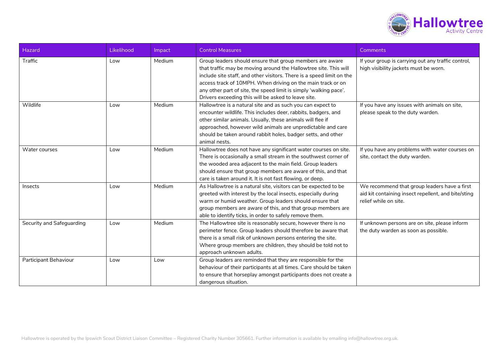

| Hazard                    | Likelihood | Impact | <b>Control Measures</b>                                                                                                                                                                                                                                                                                                                                                                          | <b>Comments</b>                                                                                                              |
|---------------------------|------------|--------|--------------------------------------------------------------------------------------------------------------------------------------------------------------------------------------------------------------------------------------------------------------------------------------------------------------------------------------------------------------------------------------------------|------------------------------------------------------------------------------------------------------------------------------|
| Traffic                   | Low        | Medium | Group leaders should ensure that group members are aware<br>that traffic may be moving around the Hallowtree site. This will<br>include site staff, and other visitors. There is a speed limit on the<br>access track of 10MPH. When driving on the main track or on<br>any other part of site, the speed limit is simply 'walking pace'.<br>Drivers exceeding this will be asked to leave site. | If your group is carrying out any traffic control,<br>high visibility jackets must be worn.                                  |
| Wildlife                  | Low        | Medium | Hallowtree is a natural site and as such you can expect to<br>encounter wildlife. This includes deer, rabbits, badgers, and<br>other similar animals. Usually, these animals will flee if<br>approached, however wild animals are unpredictable and care<br>should be taken around rabbit holes, badger setts, and other<br>animal nests.                                                        | If you have any issues with animals on site,<br>please speak to the duty warden.                                             |
| Water courses             | Low        | Medium | Hallowtree does not have any significant water courses on site.<br>There is occasionally a small stream in the southwest corner of<br>the wooded area adjacent to the main field. Group leaders<br>should ensure that group members are aware of this, and that<br>care is taken around it. It is not fast flowing, or deep.                                                                     | If you have any problems with water courses on<br>site, contact the duty warden.                                             |
| Insects                   | Low        | Medium | As Hallowtree is a natural site, visitors can be expected to be<br>greeted with interest by the local insects, especially during<br>warm or humid weather. Group leaders should ensure that<br>group members are aware of this, and that group members are<br>able to identify ticks, in order to safely remove them.                                                                            | We recommend that group leaders have a first<br>aid kit containing insect repellent, and bite/sting<br>relief while on site. |
| Security and Safeguarding | Low        | Medium | The Hallowtree site is reasonably secure, however there is no<br>perimeter fence. Group leaders should therefore be aware that<br>there is a small risk of unknown persons entering the site.<br>Where group members are children, they should be told not to<br>approach unknown adults.                                                                                                        | If unknown persons are on site, please inform<br>the duty warden as soon as possible.                                        |
| Participant Behaviour     | Low        | Low    | Group leaders are reminded that they are responsible for the<br>behaviour of their participants at all times. Care should be taken<br>to ensure that horseplay amongst participants does not create a<br>dangerous situation.                                                                                                                                                                    |                                                                                                                              |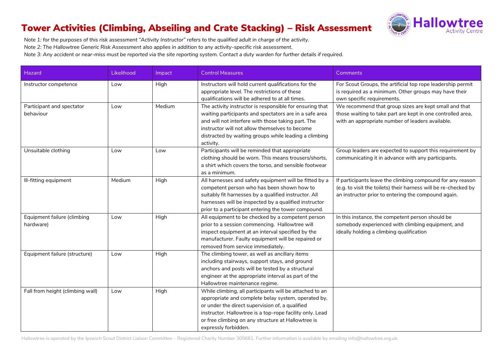# Tower Activities (Climbing, Abseiling and Crate Stacking) – Risk Assessment



*Note 1: for the purposes of this risk assessment "Activity Instructor" refers to the qualified adult in charge of the activity. Note 2: The Hallowtree Generic Risk Assessment also applies in addition to any activity-specific risk assessment. Note 3: Any accident or near-miss must be reported via the site reporting system. Contact a duty warden for further details if required.*

| <b>Hazard</b>                            | Likelihood | Impact | <b>Control Measures</b>                                                                                                                                                                                                                                                                                     | <b>Comments</b>                                                                                                                                                                      |
|------------------------------------------|------------|--------|-------------------------------------------------------------------------------------------------------------------------------------------------------------------------------------------------------------------------------------------------------------------------------------------------------------|--------------------------------------------------------------------------------------------------------------------------------------------------------------------------------------|
| Instructor competence                    | Low        | High   | Instructors will hold current qualifications for the<br>appropriate level. The restrictions of these<br>qualifications will be adhered to at all times.                                                                                                                                                     | For Scout Groups, the artificial top rope leadership permit<br>is required as a minimum. Other groups may have their<br>own specific requirements.                                   |
| Participant and spectator<br>behaviour   | Low        | Medium | The activity instructor is responsible for ensuring that<br>waiting participants and spectators are in a safe area<br>and will not interfere with those taking part. The<br>instructor will not allow themselves to become<br>distracted by waiting groups while leading a climbing<br>activity.            | We recommend that group sizes are kept small and that<br>those waiting to take part are kept in one controlled area,<br>with an appropriate number of leaders available.             |
| Unsuitable clothing                      | Low        | Low    | Participants will be reminded that appropriate<br>clothing should be worn. This means trousers/shorts,<br>a shirt which covers the torso, and sensible footwear<br>as a minimum.                                                                                                                            | Group leaders are expected to support this requirement by<br>communicating it in advance with any participants.                                                                      |
| Ill-fitting equipment                    | Medium     | High   | All harnesses and safety equipment will be fitted by a<br>competent person who has been shown how to<br>suitably fit harnesses by a qualified instructor. All<br>harnesses will be inspected by a qualified instructor<br>prior to a participant entering the tower compound.                               | If participants leave the climbing compound for any reason<br>(e.g. to visit the toilets) their harness will be re-checked by<br>an instructor prior to entering the compound again. |
| Equipment failure (climbing<br>hardware) | Low        | High   | All equipment to be checked by a competent person<br>prior to a session commencing. Hallowtree will<br>inspect equipment at an interval specified by the<br>manufacturer. Faulty equipment will be repaired or<br>removed from service immediately.                                                         | In this instance, the competent person should be<br>somebody experienced with climbing equipment, and<br>ideally holding a climbing qualification                                    |
| Equipment failure (structure)            | Low        | High   | The climbing tower, as well as ancillary items<br>including stairways, support stays, and ground<br>anchors and posts will be tested by a structural<br>engineer at the appropriate interval as part of the<br>Hallowtree maintenance regime.                                                               |                                                                                                                                                                                      |
| Fall from height (climbing wall)         | Low        | High   | While climbing, all participants will be attached to an<br>appropriate and complete belay system, operated by,<br>or under the direct supervision of, a qualified<br>instructor. Hallowtree is a top-rope facility only. Lead<br>or free climbing on any structure at Hallowtree is<br>expressly forbidden. |                                                                                                                                                                                      |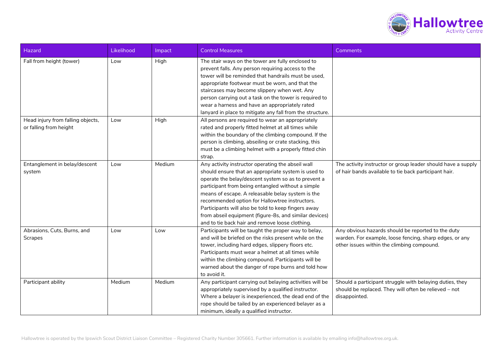

| Hazard                                                      | Likelihood | Impact | <b>Control Measures</b>                                                                                                                                                                                                                                                                                                                                                                                                                                                                         | Comments                                                                                                                                                    |
|-------------------------------------------------------------|------------|--------|-------------------------------------------------------------------------------------------------------------------------------------------------------------------------------------------------------------------------------------------------------------------------------------------------------------------------------------------------------------------------------------------------------------------------------------------------------------------------------------------------|-------------------------------------------------------------------------------------------------------------------------------------------------------------|
| Fall from height (tower)                                    | Low        | High   | The stair ways on the tower are fully enclosed to<br>prevent falls. Any person requiring access to the<br>tower will be reminded that handrails must be used,<br>appropriate footwear must be worn, and that the<br>staircases may become slippery when wet. Any<br>person carrying out a task on the tower is required to<br>wear a harness and have an appropriately rated<br>lanyard in place to mitigate any fall from the structure.                                                       |                                                                                                                                                             |
| Head injury from falling objects,<br>or falling from height | Low        | High   | All persons are required to wear an appropriately<br>rated and properly fitted helmet at all times while<br>within the boundary of the climbing compound. If the<br>person is climbing, abseiling or crate stacking, this<br>must be a climbing helmet with a properly fitted chin<br>strap.                                                                                                                                                                                                    |                                                                                                                                                             |
| Entanglement in belay/descent<br>system                     | Low        | Medium | Any activity instructor operating the abseil wall<br>should ensure that an appropriate system is used to<br>operate the belay/descent system so as to prevent a<br>participant from being entangled without a simple<br>means of escape. A releasable belay system is the<br>recommended option for Hallowtree instructors.<br>Participants will also be told to keep fingers away<br>from abseil equipment (figure-8s, and similar devices)<br>and to tie back hair and remove loose clothing. | The activity instructor or group leader should have a supply<br>of hair bands available to tie back participant hair.                                       |
| Abrasions, Cuts, Burns, and<br>Scrapes                      | Low        | Low    | Participants will be taught the proper way to belay,<br>and will be briefed on the risks present while on the<br>tower, including hard edges, slippery floors etc.<br>Participants must wear a helmet at all times while<br>within the climbing compound. Participants will be<br>warned about the danger of rope burns and told how<br>to avoid it.                                                                                                                                            | Any obvious hazards should be reported to the duty<br>warden. For example, loose fencing, sharp edges, or any<br>other issues within the climbing compound. |
| Participant ability                                         | Medium     | Medium | Any participant carrying out belaying activities will be<br>appropriately supervised by a qualified instructor.<br>Where a belayer is inexperienced, the dead end of the<br>rope should be tailed by an experienced belayer as a<br>minimum, ideally a qualified instructor.                                                                                                                                                                                                                    | Should a participant struggle with belaying duties, they<br>should be replaced. They will often be relieved - not<br>disappointed.                          |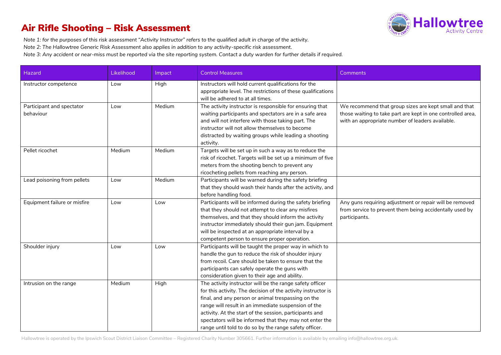# Air Rifle Shooting – Risk Assessment



*Note 1: for the purposes of this risk assessment "Activity Instructor" refers to the qualified adult in charge of the activity. Note 2: The Hallowtree Generic Risk Assessment also applies in addition to any activity-specific risk assessment. Note 3: Any accident or near-miss must be reported via the site reporting system. Contact a duty warden for further details if required.*

| <b>Hazard</b>                | Likelihood | Impact | <b>Control Measures</b>                                                                                             | Comments                                                    |
|------------------------------|------------|--------|---------------------------------------------------------------------------------------------------------------------|-------------------------------------------------------------|
| Instructor competence        | Low        | High   | Instructors will hold current qualifications for the<br>appropriate level. The restrictions of these qualifications |                                                             |
|                              |            |        | will be adhered to at all times.                                                                                    |                                                             |
| Participant and spectator    | Low        | Medium | The activity instructor is responsible for ensuring that                                                            | We recommend that group sizes are kept small and that       |
| behaviour                    |            |        | waiting participants and spectators are in a safe area                                                              | those waiting to take part are kept in one controlled area, |
|                              |            |        | and will not interfere with those taking part. The                                                                  | with an appropriate number of leaders available.            |
|                              |            |        | instructor will not allow themselves to become                                                                      |                                                             |
|                              |            |        | distracted by waiting groups while leading a shooting                                                               |                                                             |
|                              |            |        | activity.                                                                                                           |                                                             |
| Pellet ricochet              | Medium     | Medium | Targets will be set up in such a way as to reduce the                                                               |                                                             |
|                              |            |        | risk of ricochet. Targets will be set up a minimum of five                                                          |                                                             |
|                              |            |        | meters from the shooting bench to prevent any                                                                       |                                                             |
|                              |            |        | ricocheting pellets from reaching any person.                                                                       |                                                             |
| Lead poisoning from pellets  | Low        | Medium | Participants will be warned during the safety briefing                                                              |                                                             |
|                              |            |        | that they should wash their hands after the activity, and                                                           |                                                             |
|                              |            |        | before handling food.                                                                                               |                                                             |
| Equipment failure or misfire | Low        | Low    | Participants will be informed during the safety briefing                                                            | Any guns requiring adjustment or repair will be removed     |
|                              |            |        | that they should not attempt to clear any misfires                                                                  | from service to prevent them being accidentally used by     |
|                              |            |        | themselves, and that they should inform the activity                                                                | participants.                                               |
|                              |            |        | instructor immediately should their gun jam. Equipment                                                              |                                                             |
|                              |            |        | will be inspected at an appropriate interval by a                                                                   |                                                             |
|                              |            |        | competent person to ensure proper operation.                                                                        |                                                             |
| Shoulder injury              | Low        | Low    | Participants will be taught the proper way in which to                                                              |                                                             |
|                              |            |        | handle the gun to reduce the risk of shoulder injury                                                                |                                                             |
|                              |            |        | from recoil. Care should be taken to ensure that the                                                                |                                                             |
|                              |            |        | participants can safely operate the guns with                                                                       |                                                             |
|                              |            |        | consideration given to their age and ability.                                                                       |                                                             |
| Intrusion on the range       | Medium     | High   | The activity instructor will be the range safety officer                                                            |                                                             |
|                              |            |        | for this activity. The decision of the activity instructor is                                                       |                                                             |
|                              |            |        | final, and any person or animal trespassing on the                                                                  |                                                             |
|                              |            |        | range will result in an immediate suspension of the                                                                 |                                                             |
|                              |            |        | activity. At the start of the session, participants and                                                             |                                                             |
|                              |            |        | spectators will be informed that they may not enter the                                                             |                                                             |
|                              |            |        | range until told to do so by the range safety officer.                                                              |                                                             |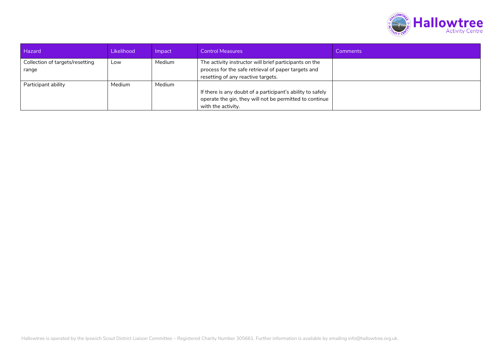

| Hazard                                   | Likelihood | Impact | <b>Control Measures</b>                                                                                                                             | Comments |
|------------------------------------------|------------|--------|-----------------------------------------------------------------------------------------------------------------------------------------------------|----------|
| Collection of targets/resetting<br>range | Low        | Medium | The activity instructor will brief participants on the<br>process for the safe retrieval of paper targets and<br>resetting of any reactive targets. |          |
| Participant ability                      | Medium     | Medium | If there is any doubt of a participant's ability to safely<br>operate the gin, they will not be permitted to continue<br>with the activity.         |          |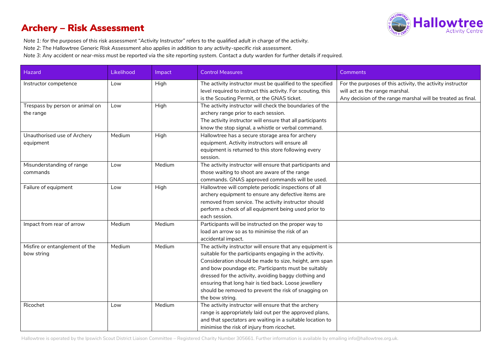## Archery – Risk Assessment



*Note 1: for the purposes of this risk assessment "Activity Instructor" refers to the qualified adult in charge of the activity. Note 2: The Hallowtree Generic Risk Assessment also applies in addition to any activity-specific risk assessment. Note 3: Any accident or near-miss must be reported via the site reporting system. Contact a duty warden for further details if required.*

| <b>Hazard</b>                                | Likelihood | Impact | <b>Control Measures</b>                                                                                                                                                                                                                                                                                                                                                                                                            | Comments                                                                                                                                                    |
|----------------------------------------------|------------|--------|------------------------------------------------------------------------------------------------------------------------------------------------------------------------------------------------------------------------------------------------------------------------------------------------------------------------------------------------------------------------------------------------------------------------------------|-------------------------------------------------------------------------------------------------------------------------------------------------------------|
| Instructor competence                        | Low        | High   | The activity instructor must be qualified to the specified<br>level required to instruct this activity. For scouting, this<br>is the Scouting Permit, or the GNAS ticket.                                                                                                                                                                                                                                                          | For the purposes of this activity, the activity instructor<br>will act as the range marshal.<br>Any decision of the range marshal will be treated as final. |
| Trespass by person or animal on<br>the range | Low        | High   | The activity instructor will check the boundaries of the<br>archery range prior to each session.<br>The activity instructor will ensure that all participants<br>know the stop signal, a whistle or verbal command.                                                                                                                                                                                                                |                                                                                                                                                             |
| Unauthorised use of Archery<br>equipment     | Medium     | High   | Hallowtree has a secure storage area for archery<br>equipment. Activity instructors will ensure all<br>equipment is returned to this store following every<br>session.                                                                                                                                                                                                                                                             |                                                                                                                                                             |
| Misunderstanding of range<br>commands        | Low        | Medium | The activity instructor will ensure that participants and<br>those waiting to shoot are aware of the range<br>commands. GNAS approved commands will be used.                                                                                                                                                                                                                                                                       |                                                                                                                                                             |
| Failure of equipment                         | Low        | High   | Hallowtree will complete periodic inspections of all<br>archery equipment to ensure any defective items are<br>removed from service. The activity instructor should<br>perform a check of all equipment being used prior to<br>each session.                                                                                                                                                                                       |                                                                                                                                                             |
| Impact from rear of arrow                    | Medium     | Medium | Participants will be instructed on the proper way to<br>load an arrow so as to minimise the risk of an<br>accidental impact.                                                                                                                                                                                                                                                                                                       |                                                                                                                                                             |
| Misfire or entanglement of the<br>bow string | Medium     | Medium | The activity instructor will ensure that any equipment is<br>suitable for the participants engaging in the activity.<br>Consideration should be made to size, height, arm span<br>and bow poundage etc. Participants must be suitably<br>dressed for the activity, avoiding baggy clothing and<br>ensuring that long hair is tied back. Loose jewellery<br>should be removed to prevent the risk of snagging on<br>the bow string. |                                                                                                                                                             |
| Ricochet                                     | Low        | Medium | The activity instructor will ensure that the archery<br>range is appropriately laid out per the approved plans,<br>and that spectators are waiting in a suitable location to<br>minimise the risk of injury from ricochet.                                                                                                                                                                                                         |                                                                                                                                                             |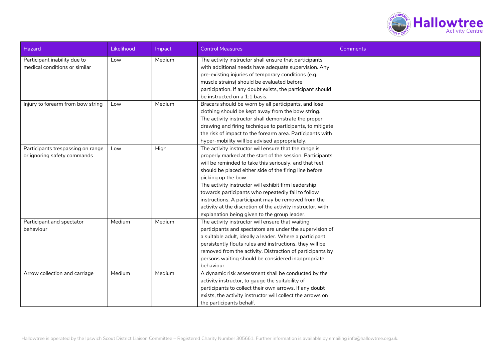

| Hazard                                                           | Likelihood | Impact | <b>Control Measures</b>                                                                                                                                                                                                                                                                                                                                                                                                                                                                                                                           | Comments |
|------------------------------------------------------------------|------------|--------|---------------------------------------------------------------------------------------------------------------------------------------------------------------------------------------------------------------------------------------------------------------------------------------------------------------------------------------------------------------------------------------------------------------------------------------------------------------------------------------------------------------------------------------------------|----------|
| Participant inability due to<br>medical conditions or similar    | Low        | Medium | The activity instructor shall ensure that participants<br>with additional needs have adequate supervision. Any<br>pre-existing injuries of temporary conditions (e.g.<br>muscle strains) should be evaluated before<br>participation. If any doubt exists, the participant should<br>be instructed on a 1:1 basis.                                                                                                                                                                                                                                |          |
| Injury to forearm from bow string                                | Low        | Medium | Bracers should be worn by all participants, and lose<br>clothing should be kept away from the bow string.<br>The activity instructor shall demonstrate the proper<br>drawing and firing technique to participants, to mitigate<br>the risk of impact to the forearm area. Participants with<br>hyper-mobility will be advised appropriately.                                                                                                                                                                                                      |          |
| Participants trespassing on range<br>or ignoring safety commands | Low        | High   | The activity instructor will ensure that the range is<br>properly marked at the start of the session. Participants<br>will be reminded to take this seriously, and that feet<br>should be placed either side of the firing line before<br>picking up the bow.<br>The activity instructor will exhibit firm leadership<br>towards participants who repeatedly fail to follow<br>instructions. A participant may be removed from the<br>activity at the discretion of the activity instructor, with<br>explanation being given to the group leader. |          |
| Participant and spectator<br>behaviour                           | Medium     | Medium | The activity instructor will ensure that waiting<br>participants and spectators are under the supervision of<br>a suitable adult, ideally a leader. Where a participant<br>persistently flouts rules and instructions, they will be<br>removed from the activity. Distraction of participants by<br>persons waiting should be considered inappropriate<br>behaviour.                                                                                                                                                                              |          |
| Arrow collection and carriage                                    | Medium     | Medium | A dynamic risk assessment shall be conducted by the<br>activity instructor, to gauge the suitability of<br>participants to collect their own arrows. If any doubt<br>exists, the activity instructor will collect the arrows on<br>the participants behalf.                                                                                                                                                                                                                                                                                       |          |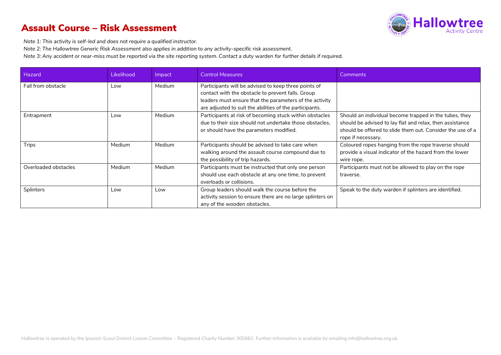#### Assault Course – Risk Assessment



*Note 1: This activity is self-led and does not require a qualified instructor.*

*Note 2: The Hallowtree Generic Risk Assessment also applies in addition to any activity-specific risk assessment.*

| Hazard               | Likelihood | <i>Impact</i> | <b>Control Measures</b>                                    | Comments                                                   |
|----------------------|------------|---------------|------------------------------------------------------------|------------------------------------------------------------|
| Fall from obstacle   | Low        | Medium        | Participants will be advised to keep three points of       |                                                            |
|                      |            |               | contact with the obstacle to prevent falls. Group          |                                                            |
|                      |            |               | leaders must ensure that the parameters of the activity    |                                                            |
|                      |            |               | are adjusted to suit the abilities of the participants.    |                                                            |
| Entrapment           | Low        | Medium        | Participants at risk of becoming stuck within obstacles    | Should an individual become trapped in the tubes, they     |
|                      |            |               | due to their size should not undertake those obstacles.    | should be advised to lay flat and relax, then assistance   |
|                      |            |               | or should have the parameters modified.                    | should be offered to slide them out. Consider the use of a |
|                      |            |               |                                                            | rope if necessary.                                         |
| Trips                | Medium     | Medium        | Participants should be advised to take care when           | Coloured ropes hanging from the rope traverse should       |
|                      |            |               | walking around the assault course compound due to          | provide a visual indicator of the hazard from the lower    |
|                      |            |               | the possibility of trip hazards.                           | wire rope.                                                 |
| Overloaded obstacles | Medium     | Medium        | Participants must be instructed that only one person       | Participants must not be allowed to play on the rope       |
|                      |            |               | should use each obstacle at any one time, to prevent       | traverse.                                                  |
|                      |            |               | overloads or collisions.                                   |                                                            |
| Splinters            | Low        | Low           | Group leaders should walk the course before the            | Speak to the duty warden if splinters are identified.      |
|                      |            |               | activity session to ensure there are no large splinters on |                                                            |
|                      |            |               | any of the wooden obstacles.                               |                                                            |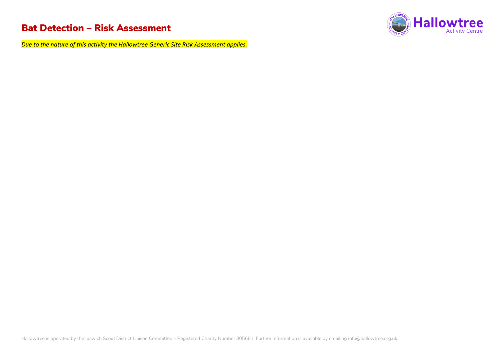#### Bat Detection – Risk Assessment

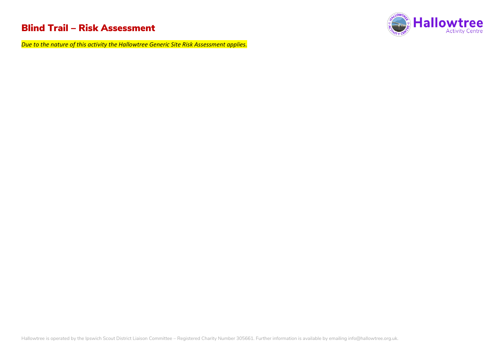#### Blind Trail – Risk Assessment

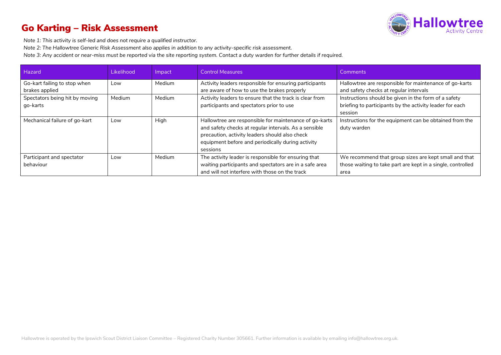## Go Karting – Risk Assessment



*Note 1: This activity is self-led and does not require a qualified instructor.*

*Note 2: The Hallowtree Generic Risk Assessment also applies in addition to any activity-specific risk assessment.*

| Hazard                         | Likelihood | Impact | <b>Control Measures</b>                                 | Comments                                                    |
|--------------------------------|------------|--------|---------------------------------------------------------|-------------------------------------------------------------|
| Go-kart failing to stop when   | Low        | Medium | Activity leaders responsible for ensuring participants  | Hallowtree are responsible for maintenance of go-karts      |
| brakes applied                 |            |        | are aware of how to use the brakes properly             | and safety checks at regular intervals                      |
| Spectators being hit by moving | Medium     | Medium | Activity leaders to ensure that the track is clear from | Instructions should be given in the form of a safety        |
| go-karts                       |            |        | participants and spectators prior to use                | briefing to participants by the activity leader for each    |
|                                |            |        |                                                         | session                                                     |
| Mechanical failure of go-kart  | Low        | High   | Hallowtree are responsible for maintenance of go-karts  | Instructions for the equipment can be obtained from the     |
|                                |            |        | and safety checks at regular intervals. As a sensible   | duty warden                                                 |
|                                |            |        | precaution, activity leaders should also check          |                                                             |
|                                |            |        | equipment before and periodically during activity       |                                                             |
|                                |            |        | sessions                                                |                                                             |
| Participant and spectator      | Low        | Medium | The activity leader is responsible for ensuring that    | We recommend that group sizes are kept small and that       |
| behaviour                      |            |        | waiting participants and spectators are in a safe area  | those waiting to take part are kept in a single, controlled |
|                                |            |        | and will not interfere with those on the track          | area                                                        |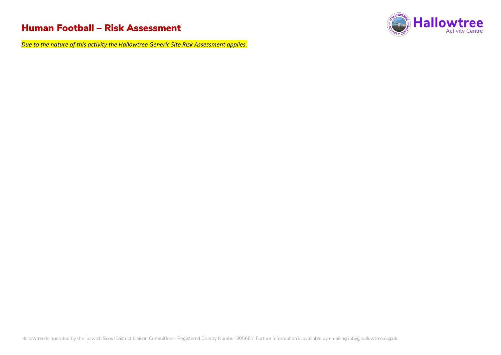#### Human Football – Risk Assessment

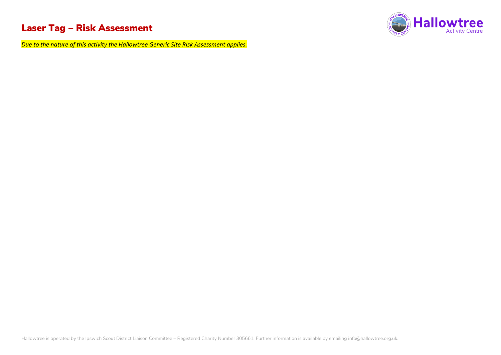## Laser Tag – Risk Assessment

Hallowtree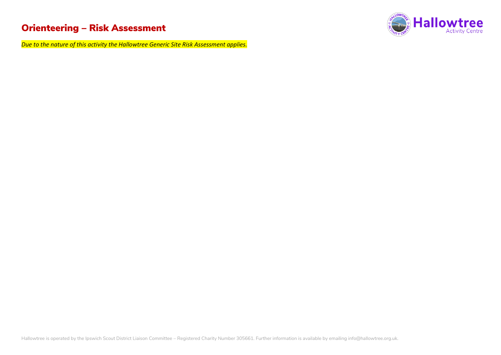## Orienteering – Risk Assessment

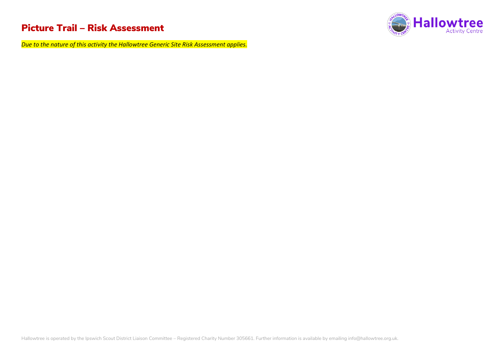#### Picture Trail – Risk Assessment

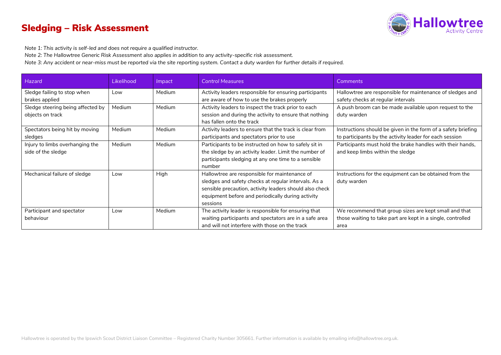## Sledging – Risk Assessment



*Note 1: This activity is self-led and does not require a qualified instructor.*

*Note 2: The Hallowtree Generic Risk Assessment also applies in addition to any activity-specific risk assessment.*

| Hazard                            | Likelihood | Impact        | <b>Control Measures</b>                                 | <b>Comments</b>                                               |
|-----------------------------------|------------|---------------|---------------------------------------------------------|---------------------------------------------------------------|
| Sledge failing to stop when       | Low        | Medium        | Activity leaders responsible for ensuring participants  | Hallowtree are responsible for maintenance of sledges and     |
| brakes applied                    |            |               | are aware of how to use the brakes properly             | safety checks at regular intervals                            |
| Sledge steering being affected by | Medium     | Medium        | Activity leaders to inspect the track prior to each     | A push broom can be made available upon request to the        |
| objects on track                  |            |               | session and during the activity to ensure that nothing  | duty warden                                                   |
|                                   |            |               | has fallen onto the track                               |                                                               |
| Spectators being hit by moving    | Medium     | <b>Medium</b> | Activity leaders to ensure that the track is clear from | Instructions should be given in the form of a safety briefing |
| sledges                           |            |               | participants and spectators prior to use                | to participants by the activity leader for each session       |
| Injury to limbs overhanging the   | Medium     | Medium        | Participants to be instructed on how to safely sit in   | Participants must hold the brake handles with their hands,    |
| side of the sledge                |            |               | the sledge by an activity leader. Limit the number of   | and keep limbs within the sledge                              |
|                                   |            |               | participants sledging at any one time to a sensible     |                                                               |
|                                   |            |               | number                                                  |                                                               |
| Mechanical failure of sledge      | Low        | High          | Hallowtree are responsible for maintenance of           | Instructions for the equipment can be obtained from the       |
|                                   |            |               | sledges and safety checks at regular intervals. As a    | duty warden                                                   |
|                                   |            |               | sensible precaution, activity leaders should also check |                                                               |
|                                   |            |               | equipment before and periodically during activity       |                                                               |
|                                   |            |               | sessions                                                |                                                               |
| Participant and spectator         | Low        | Medium        | The activity leader is responsible for ensuring that    | We recommend that group sizes are kept small and that         |
| behaviour                         |            |               | waiting participants and spectators are in a safe area  | those waiting to take part are kept in a single, controlled   |
|                                   |            |               | and will not interfere with those on the track          | area                                                          |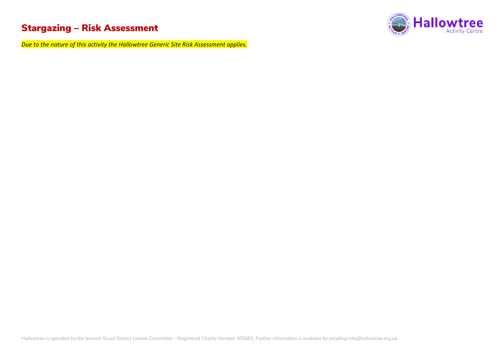## Stargazing – Risk Assessment

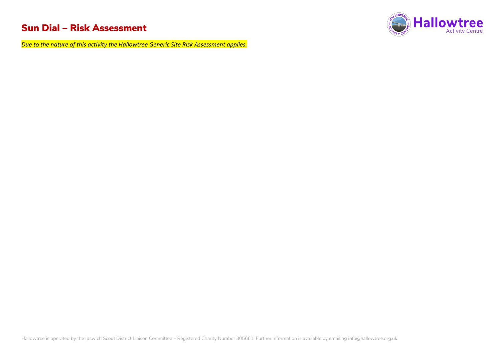#### Sun Dial – Risk Assessment

Hallowtree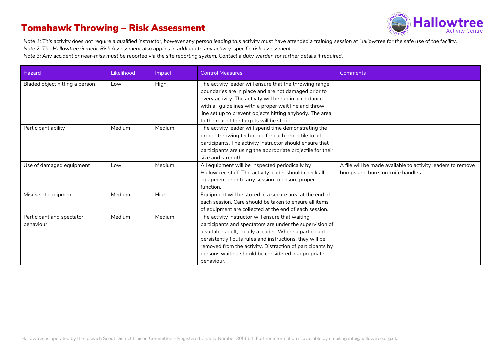#### Tomahawk Throwing – Risk Assessment



*Note 1: This activity does not require a qualified instructor, however any person leading this activity must have attended a training session at Hallowtree for the safe use of the facility. Note 2: The Hallowtree Generic Risk Assessment also applies in addition to any activity-specific risk assessment.*

| Hazard                                 | Likelihood | Impact | <b>Control Measures</b>                                                                                                                                                                                                                                                                                                                                              | <b>Comments</b>                                                                                  |
|----------------------------------------|------------|--------|----------------------------------------------------------------------------------------------------------------------------------------------------------------------------------------------------------------------------------------------------------------------------------------------------------------------------------------------------------------------|--------------------------------------------------------------------------------------------------|
| Bladed object hitting a person         | Low        | High   | The activity leader will ensure that the throwing range<br>boundaries are in place and are not damaged prior to<br>every activity. The activity will be run in accordance<br>with all guidelines with a proper wait line and throw<br>line set up to prevent objects hitting anybody. The area<br>to the rear of the targets will be sterile                         |                                                                                                  |
| Participant ability                    | Medium     | Medium | The activity leader will spend time demonstrating the<br>proper throwing technique for each projectile to all<br>participants. The activity instructor should ensure that<br>participants are using the appropriate projectile for their<br>size and strength.                                                                                                       |                                                                                                  |
| Use of damaged equipment               | Low        | Medium | All equipment will be inspected periodically by<br>Hallowtree staff. The activity leader should check all<br>equipment prior to any session to ensure proper<br>function.                                                                                                                                                                                            | A file will be made available to activity leaders to remove<br>bumps and burrs on knife handles. |
| Misuse of equipment                    | Medium     | High   | Equipment will be stored in a secure area at the end of<br>each session. Care should be taken to ensure all items<br>of equipment are collected at the end of each session.                                                                                                                                                                                          |                                                                                                  |
| Participant and spectator<br>behaviour | Medium     | Medium | The activity instructor will ensure that waiting<br>participants and spectators are under the supervision of<br>a suitable adult, ideally a leader. Where a participant<br>persistently flouts rules and instructions, they will be<br>removed from the activity. Distraction of participants by<br>persons waiting should be considered inappropriate<br>behaviour. |                                                                                                  |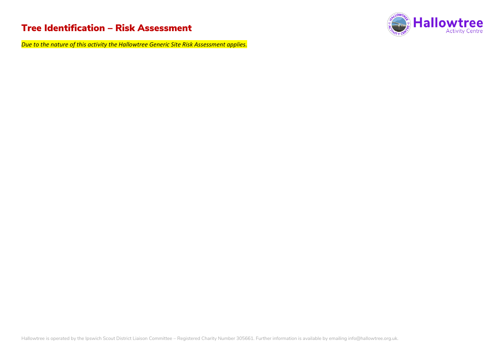#### Tree Identification – Risk Assessment

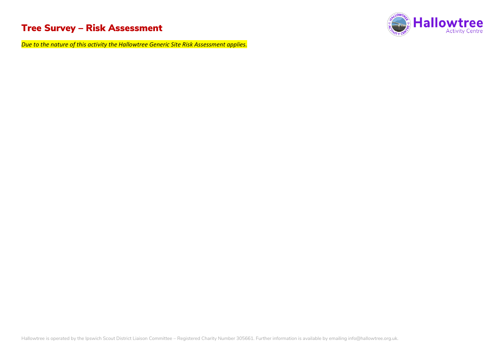## Tree Survey – Risk Assessment

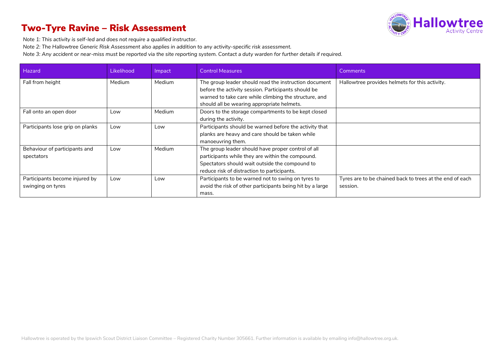## Two-Tyre Ravine – Risk Assessment



*Note 1: This activity is self-led and does not require a qualified instructor.*

*Note 2: The Hallowtree Generic Risk Assessment also applies in addition to any activity-specific risk assessment.*

| Hazard                           | <b>Likelihood</b> | <i>Impact</i> | <b>Control Measures</b>                                   | Comments                                                 |
|----------------------------------|-------------------|---------------|-----------------------------------------------------------|----------------------------------------------------------|
| Fall from height                 | Medium            | Medium        | The group leader should read the instruction document     | Hallowtree provides helmets for this activity.           |
|                                  |                   |               | before the activity session. Participants should be       |                                                          |
|                                  |                   |               | warned to take care while climbing the structure, and     |                                                          |
|                                  |                   |               | should all be wearing appropriate helmets.                |                                                          |
| Fall onto an open door           | Low               | Medium        | Doors to the storage compartments to be kept closed       |                                                          |
|                                  |                   |               | during the activity.                                      |                                                          |
| Participants lose grip on planks | Low               | Low           | Participants should be warned before the activity that    |                                                          |
|                                  |                   |               | planks are heavy and care should be taken while           |                                                          |
|                                  |                   |               | manoeuvring them.                                         |                                                          |
| Behaviour of participants and    | Low               | Medium        | The group leader should have proper control of all        |                                                          |
| spectators                       |                   |               | participants while they are within the compound.          |                                                          |
|                                  |                   |               | Spectators should wait outside the compound to            |                                                          |
|                                  |                   |               | reduce risk of distraction to participants.               |                                                          |
| Participants become injured by   | Low               | Low           | Participants to be warned not to swing on tyres to        | Tyres are to be chained back to trees at the end of each |
| swinging on tyres                |                   |               | avoid the risk of other participants being hit by a large | session.                                                 |
|                                  |                   |               | mass.                                                     |                                                          |